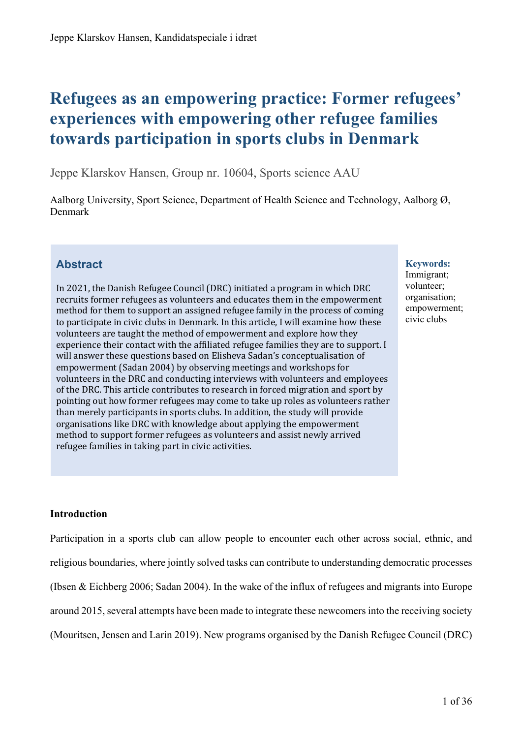# **Refugees as an empowering practice: Former refugees' experiences with empowering other refugee families towards participation in sports clubs in Denmark**

Jeppe Klarskov Hansen, Group nr. 10604, Sports science AAU

Aalborg University, Sport Science, Department of Health Science and Technology, Aalborg Ø, Denmark

# **Abstract**

In 2021, the Danish Refugee Council (DRC) initiated a program in which DRC recruits former refugees as volunteers and educates them in the empowerment method for them to support an assigned refugee family in the process of coming to participate in civic clubs in Denmark. In this article, I will examine how these volunteers are taught the method of empowerment and explore how they experience their contact with the affiliated refugee families they are to support. I will answer these questions based on Elisheva Sadan's conceptualisation of empowerment (Sadan 2004) by observing meetings and workshops for volunteers in the DRC and conducting interviews with volunteers and employees of the DRC. This article contributes to research in forced migration and sport by pointing out how former refugees may come to take up roles as volunteers rather than merely participants in sports clubs. In addition, the study will provide organisations like DRC with knowledge about applying the empowerment method to support former refugees as volunteers and assist newly arrived refugee families in taking part in civic activities.

#### **Keywords:**

Immigrant; volunteer; organisation; empowerment; civic clubs

# **Introduction**

Participation in a sports club can allow people to encounter each other across social, ethnic, and religious boundaries, where jointly solved tasks can contribute to understanding democratic processes (Ibsen & Eichberg 2006; Sadan 2004). In the wake of the influx of refugees and migrants into Europe around 2015, several attempts have been made to integrate these newcomers into the receiving society (Mouritsen, Jensen and Larin 2019). New programs organised by the Danish Refugee Council (DRC)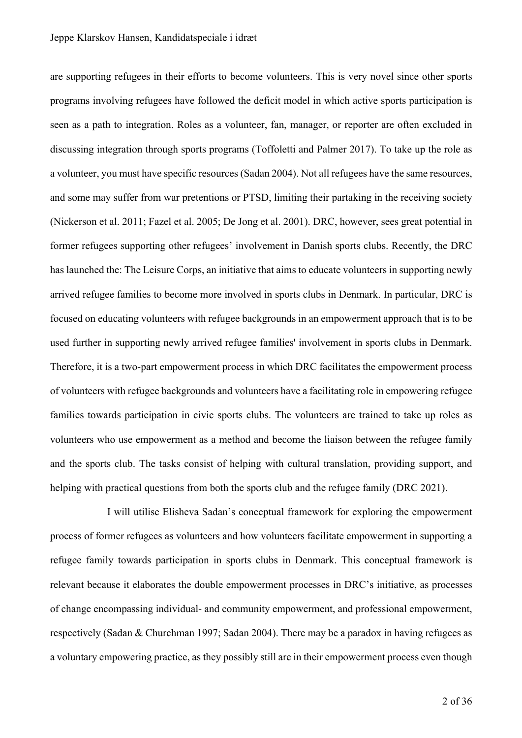are supporting refugees in their efforts to become volunteers. This is very novel since other sports programs involving refugees have followed the deficit model in which active sports participation is seen as a path to integration. Roles as a volunteer, fan, manager, or reporter are often excluded in discussing integration through sports programs (Toffoletti and Palmer 2017). To take up the role as a volunteer, you must have specific resources (Sadan 2004). Not all refugees have the same resources, and some may suffer from war pretentions or PTSD, limiting their partaking in the receiving society (Nickerson et al. 2011; Fazel et al. 2005; De Jong et al. 2001). DRC, however, sees great potential in former refugees supporting other refugees' involvement in Danish sports clubs. Recently, the DRC has launched the: The Leisure Corps, an initiative that aims to educate volunteers in supporting newly arrived refugee families to become more involved in sports clubs in Denmark. In particular, DRC is focused on educating volunteers with refugee backgrounds in an empowerment approach that is to be used further in supporting newly arrived refugee families' involvement in sports clubs in Denmark. Therefore, it is a two-part empowerment process in which DRC facilitates the empowerment process of volunteers with refugee backgrounds and volunteers have a facilitating role in empowering refugee families towards participation in civic sports clubs. The volunteers are trained to take up roles as volunteers who use empowerment as a method and become the liaison between the refugee family and the sports club. The tasks consist of helping with cultural translation, providing support, and helping with practical questions from both the sports club and the refugee family (DRC 2021).

I will utilise Elisheva Sadan's conceptual framework for exploring the empowerment process of former refugees as volunteers and how volunteers facilitate empowerment in supporting a refugee family towards participation in sports clubs in Denmark. This conceptual framework is relevant because it elaborates the double empowerment processes in DRC's initiative, as processes of change encompassing individual- and community empowerment, and professional empowerment, respectively (Sadan & Churchman 1997; Sadan 2004). There may be a paradox in having refugees as a voluntary empowering practice, as they possibly still are in their empowerment process even though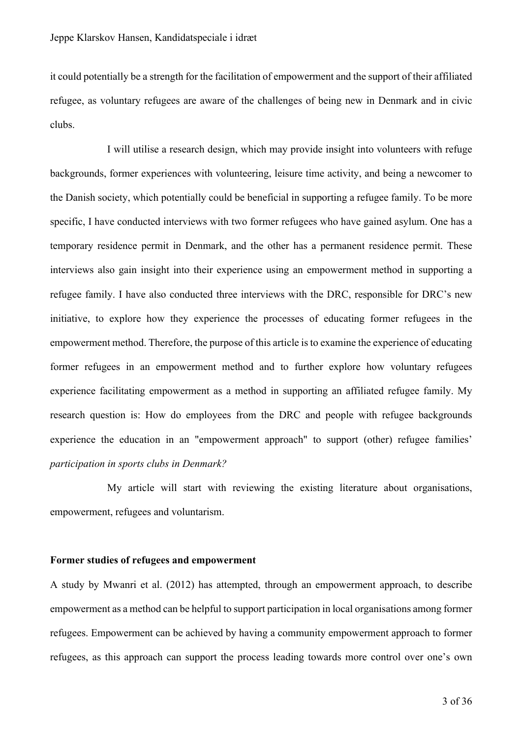it could potentially be a strength for the facilitation of empowerment and the support of their affiliated refugee, as voluntary refugees are aware of the challenges of being new in Denmark and in civic clubs.

I will utilise a research design, which may provide insight into volunteers with refuge backgrounds, former experiences with volunteering, leisure time activity, and being a newcomer to the Danish society, which potentially could be beneficial in supporting a refugee family. To be more specific, I have conducted interviews with two former refugees who have gained asylum. One has a temporary residence permit in Denmark, and the other has a permanent residence permit. These interviews also gain insight into their experience using an empowerment method in supporting a refugee family. I have also conducted three interviews with the DRC, responsible for DRC's new initiative, to explore how they experience the processes of educating former refugees in the empowerment method. Therefore, the purpose of this article is to examine the experience of educating former refugees in an empowerment method and to further explore how voluntary refugees experience facilitating empowerment as a method in supporting an affiliated refugee family. My research question is: How do employees from the DRC and people with refugee backgrounds experience the education in an "empowerment approach" to support (other) refugee families' *participation in sports clubs in Denmark?*

My article will start with reviewing the existing literature about organisations, empowerment, refugees and voluntarism.

#### **Former studies of refugees and empowerment**

A study by Mwanri et al. (2012) has attempted, through an empowerment approach, to describe empowerment as a method can be helpful to support participation in local organisations among former refugees. Empowerment can be achieved by having a community empowerment approach to former refugees, as this approach can support the process leading towards more control over one's own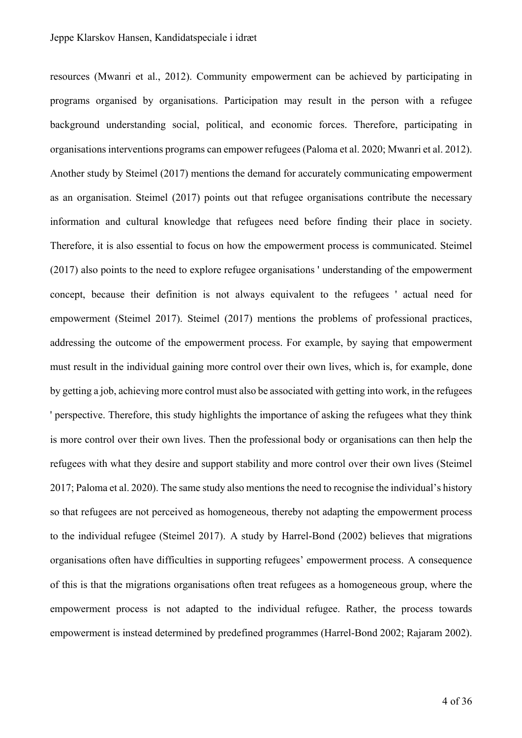resources (Mwanri et al., 2012). Community empowerment can be achieved by participating in programs organised by organisations. Participation may result in the person with a refugee background understanding social, political, and economic forces. Therefore, participating in organisations interventions programs can empower refugees (Paloma et al. 2020; Mwanri et al. 2012). Another study by Steimel (2017) mentions the demand for accurately communicating empowerment as an organisation. Steimel (2017) points out that refugee organisations contribute the necessary information and cultural knowledge that refugees need before finding their place in society. Therefore, it is also essential to focus on how the empowerment process is communicated. Steimel (2017) also points to the need to explore refugee organisations ' understanding of the empowerment concept, because their definition is not always equivalent to the refugees ' actual need for empowerment (Steimel 2017). Steimel (2017) mentions the problems of professional practices, addressing the outcome of the empowerment process. For example, by saying that empowerment must result in the individual gaining more control over their own lives, which is, for example, done by getting a job, achieving more control must also be associated with getting into work, in the refugees ' perspective. Therefore, this study highlights the importance of asking the refugees what they think is more control over their own lives. Then the professional body or organisations can then help the refugees with what they desire and support stability and more control over their own lives (Steimel 2017; Paloma et al. 2020). The same study also mentions the need to recognise the individual's history so that refugees are not perceived as homogeneous, thereby not adapting the empowerment process to the individual refugee (Steimel 2017). A study by Harrel-Bond (2002) believes that migrations organisations often have difficulties in supporting refugees' empowerment process. A consequence of this is that the migrations organisations often treat refugees as a homogeneous group, where the empowerment process is not adapted to the individual refugee. Rather, the process towards empowerment is instead determined by predefined programmes (Harrel-Bond 2002; Rajaram 2002).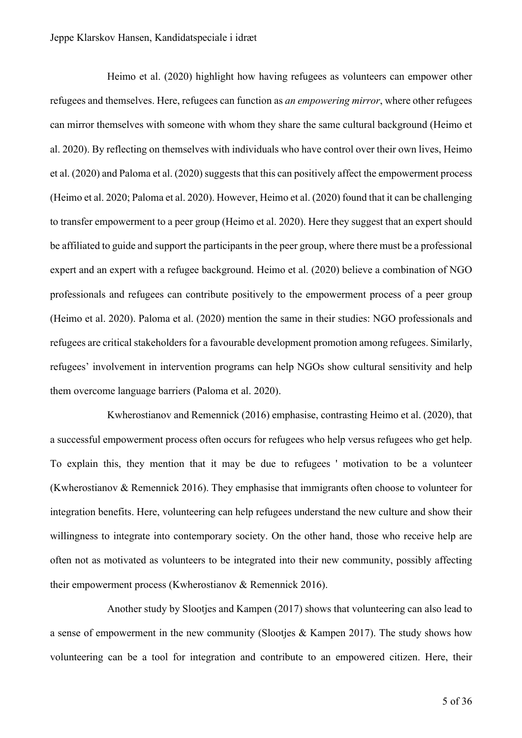Heimo et al. (2020) highlight how having refugees as volunteers can empower other refugees and themselves. Here, refugees can function as *an empowering mirror*, where other refugees can mirror themselves with someone with whom they share the same cultural background (Heimo et al. 2020). By reflecting on themselves with individuals who have control over their own lives, Heimo et al. (2020) and Paloma et al. (2020) suggests that this can positively affect the empowerment process (Heimo et al. 2020; Paloma et al. 2020). However, Heimo et al. (2020) found that it can be challenging to transfer empowerment to a peer group (Heimo et al. 2020). Here they suggest that an expert should be affiliated to guide and support the participants in the peer group, where there must be a professional expert and an expert with a refugee background. Heimo et al. (2020) believe a combination of NGO professionals and refugees can contribute positively to the empowerment process of a peer group (Heimo et al. 2020). Paloma et al. (2020) mention the same in their studies: NGO professionals and refugees are critical stakeholders for a favourable development promotion among refugees. Similarly, refugees' involvement in intervention programs can help NGOs show cultural sensitivity and help them overcome language barriers (Paloma et al. 2020).

Kwherostianov and Remennick (2016) emphasise, contrasting Heimo et al. (2020), that a successful empowerment process often occurs for refugees who help versus refugees who get help. To explain this, they mention that it may be due to refugees ' motivation to be a volunteer (Kwherostianov & Remennick 2016). They emphasise that immigrants often choose to volunteer for integration benefits. Here, volunteering can help refugees understand the new culture and show their willingness to integrate into contemporary society. On the other hand, those who receive help are often not as motivated as volunteers to be integrated into their new community, possibly affecting their empowerment process (Kwherostianov & Remennick 2016).

Another study by Slootjes and Kampen (2017) shows that volunteering can also lead to a sense of empowerment in the new community (Slootjes & Kampen 2017). The study shows how volunteering can be a tool for integration and contribute to an empowered citizen. Here, their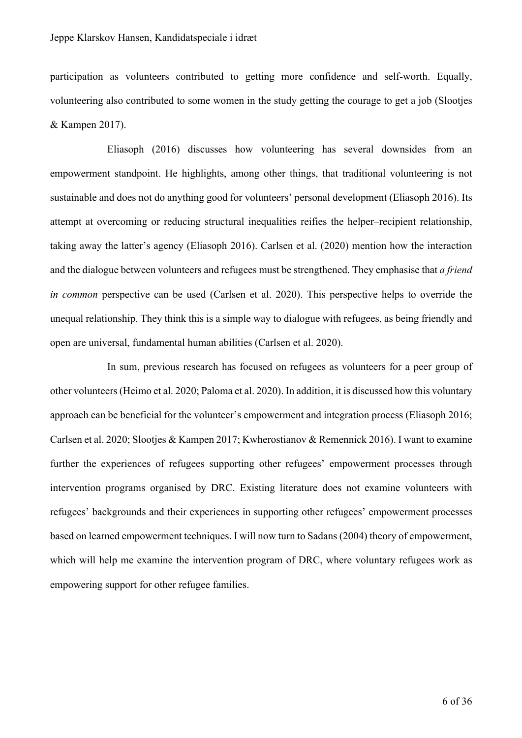participation as volunteers contributed to getting more confidence and self-worth. Equally, volunteering also contributed to some women in the study getting the courage to get a job (Slootjes & Kampen 2017).

Eliasoph (2016) discusses how volunteering has several downsides from an empowerment standpoint. He highlights, among other things, that traditional volunteering is not sustainable and does not do anything good for volunteers' personal development (Eliasoph 2016). Its attempt at overcoming or reducing structural inequalities reifies the helper–recipient relationship, taking away the latter's agency (Eliasoph 2016). Carlsen et al. (2020) mention how the interaction and the dialogue between volunteers and refugees must be strengthened. They emphasise that *a friend in common* perspective can be used (Carlsen et al. 2020). This perspective helps to override the unequal relationship. They think this is a simple way to dialogue with refugees, as being friendly and open are universal, fundamental human abilities (Carlsen et al. 2020).

In sum, previous research has focused on refugees as volunteers for a peer group of other volunteers(Heimo et al. 2020; Paloma et al. 2020). In addition, it is discussed how this voluntary approach can be beneficial for the volunteer's empowerment and integration process (Eliasoph 2016; Carlsen et al. 2020; Slootjes & Kampen 2017; Kwherostianov & Remennick 2016). I want to examine further the experiences of refugees supporting other refugees' empowerment processes through intervention programs organised by DRC. Existing literature does not examine volunteers with refugees' backgrounds and their experiences in supporting other refugees' empowerment processes based on learned empowerment techniques. I will now turn to Sadans (2004) theory of empowerment, which will help me examine the intervention program of DRC, where voluntary refugees work as empowering support for other refugee families.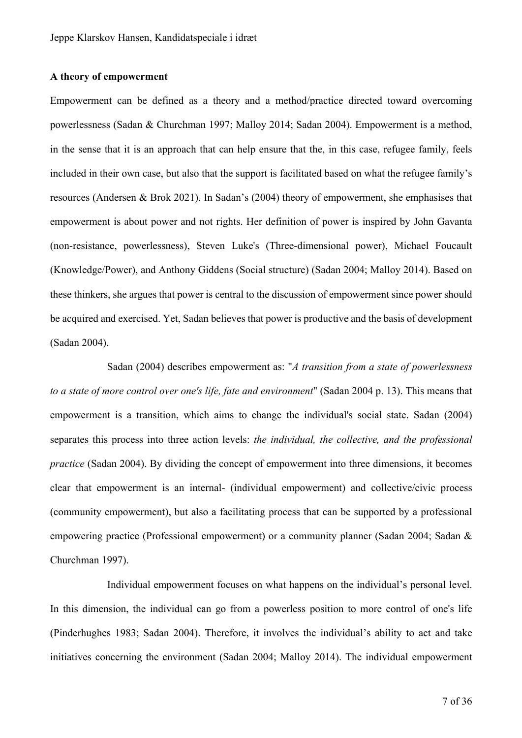#### **A theory of empowerment**

Empowerment can be defined as a theory and a method/practice directed toward overcoming powerlessness (Sadan & Churchman 1997; Malloy 2014; Sadan 2004). Empowerment is a method, in the sense that it is an approach that can help ensure that the, in this case, refugee family, feels included in their own case, but also that the support is facilitated based on what the refugee family's resources (Andersen & Brok 2021). In Sadan's (2004) theory of empowerment, she emphasises that empowerment is about power and not rights. Her definition of power is inspired by John Gavanta (non-resistance, powerlessness), Steven Luke's (Three-dimensional power), Michael Foucault (Knowledge/Power), and Anthony Giddens (Social structure) (Sadan 2004; Malloy 2014). Based on these thinkers, she argues that power is central to the discussion of empowerment since power should be acquired and exercised. Yet, Sadan believes that power is productive and the basis of development (Sadan 2004).

Sadan (2004) describes empowerment as: "*A transition from a state of powerlessness to a state of more control over one's life, fate and environment*" (Sadan 2004 p. 13). This means that empowerment is a transition, which aims to change the individual's social state. Sadan (2004) separates this process into three action levels: *the individual, the collective, and the professional practice* (Sadan 2004). By dividing the concept of empowerment into three dimensions, it becomes clear that empowerment is an internal- (individual empowerment) and collective/civic process (community empowerment), but also a facilitating process that can be supported by a professional empowering practice (Professional empowerment) or a community planner (Sadan 2004; Sadan & Churchman 1997).

Individual empowerment focuses on what happens on the individual's personal level. In this dimension, the individual can go from a powerless position to more control of one's life (Pinderhughes 1983; Sadan 2004). Therefore, it involves the individual's ability to act and take initiatives concerning the environment (Sadan 2004; Malloy 2014). The individual empowerment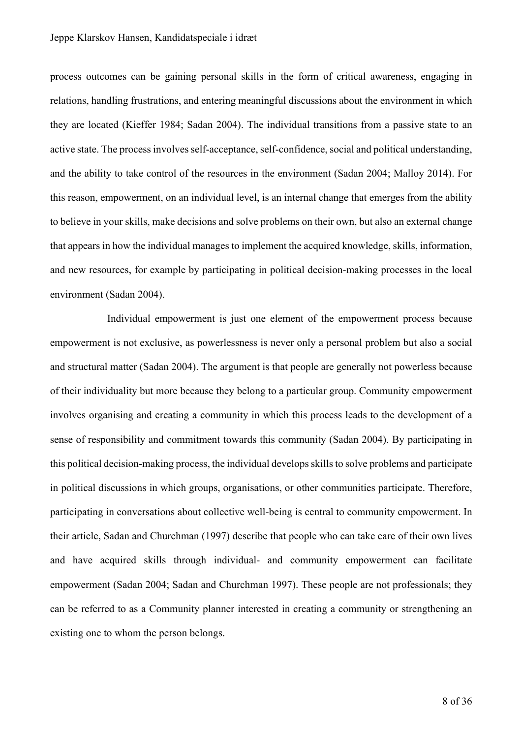process outcomes can be gaining personal skills in the form of critical awareness, engaging in relations, handling frustrations, and entering meaningful discussions about the environment in which they are located (Kieffer 1984; Sadan 2004). The individual transitions from a passive state to an active state. The process involves self-acceptance, self-confidence, social and political understanding, and the ability to take control of the resources in the environment (Sadan 2004; Malloy 2014). For this reason, empowerment, on an individual level, is an internal change that emerges from the ability to believe in your skills, make decisions and solve problems on their own, but also an external change that appears in how the individual manages to implement the acquired knowledge, skills, information, and new resources, for example by participating in political decision-making processes in the local environment (Sadan 2004).

Individual empowerment is just one element of the empowerment process because empowerment is not exclusive, as powerlessness is never only a personal problem but also a social and structural matter (Sadan 2004). The argument is that people are generally not powerless because of their individuality but more because they belong to a particular group. Community empowerment involves organising and creating a community in which this process leads to the development of a sense of responsibility and commitment towards this community (Sadan 2004). By participating in this political decision-making process, the individual develops skills to solve problems and participate in political discussions in which groups, organisations, or other communities participate. Therefore, participating in conversations about collective well-being is central to community empowerment. In their article, Sadan and Churchman (1997) describe that people who can take care of their own lives and have acquired skills through individual- and community empowerment can facilitate empowerment (Sadan 2004; Sadan and Churchman 1997). These people are not professionals; they can be referred to as a Community planner interested in creating a community or strengthening an existing one to whom the person belongs.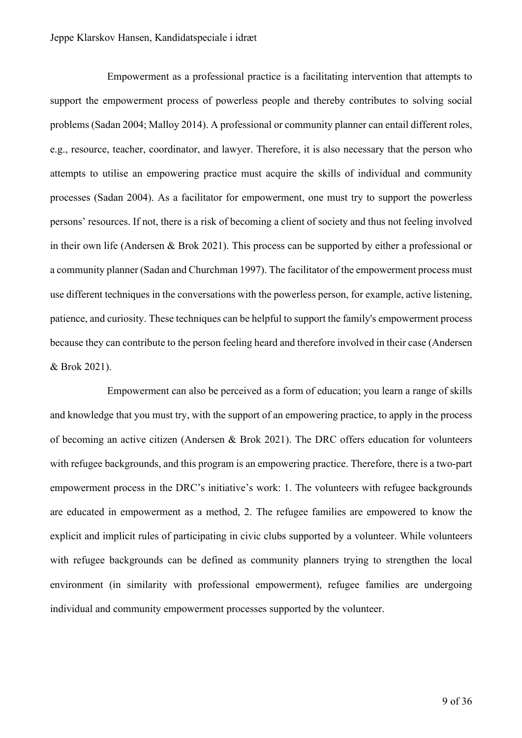Empowerment as a professional practice is a facilitating intervention that attempts to support the empowerment process of powerless people and thereby contributes to solving social problems (Sadan 2004; Malloy 2014). A professional or community planner can entail different roles, e.g., resource, teacher, coordinator, and lawyer. Therefore, it is also necessary that the person who attempts to utilise an empowering practice must acquire the skills of individual and community processes (Sadan 2004). As a facilitator for empowerment, one must try to support the powerless persons' resources. If not, there is a risk of becoming a client of society and thus not feeling involved in their own life (Andersen & Brok 2021). This process can be supported by either a professional or a community planner (Sadan and Churchman 1997). The facilitator of the empowerment process must use different techniques in the conversations with the powerless person, for example, active listening, patience, and curiosity. These techniques can be helpful to support the family's empowerment process because they can contribute to the person feeling heard and therefore involved in their case (Andersen & Brok 2021).

Empowerment can also be perceived as a form of education; you learn a range of skills and knowledge that you must try, with the support of an empowering practice, to apply in the process of becoming an active citizen (Andersen & Brok 2021). The DRC offers education for volunteers with refugee backgrounds, and this program is an empowering practice. Therefore, there is a two-part empowerment process in the DRC's initiative's work: 1. The volunteers with refugee backgrounds are educated in empowerment as a method, 2. The refugee families are empowered to know the explicit and implicit rules of participating in civic clubs supported by a volunteer. While volunteers with refugee backgrounds can be defined as community planners trying to strengthen the local environment (in similarity with professional empowerment), refugee families are undergoing individual and community empowerment processes supported by the volunteer.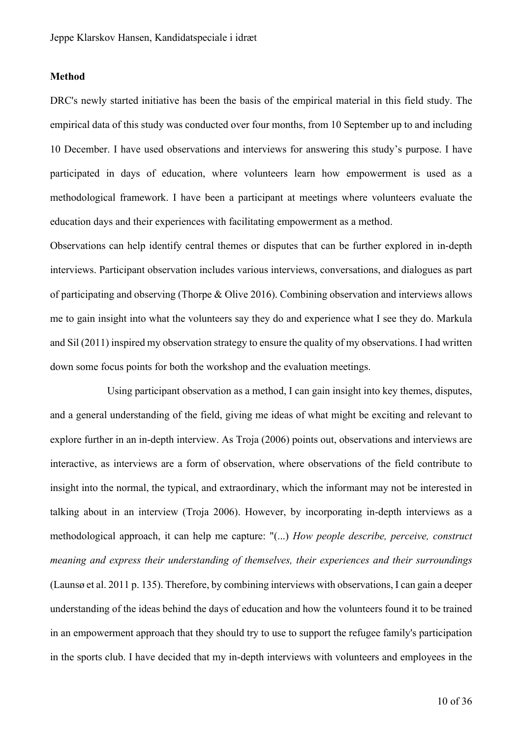#### **Method**

DRC's newly started initiative has been the basis of the empirical material in this field study. The empirical data of this study was conducted over four months, from 10 September up to and including 10 December. I have used observations and interviews for answering this study's purpose. I have participated in days of education, where volunteers learn how empowerment is used as a methodological framework. I have been a participant at meetings where volunteers evaluate the education days and their experiences with facilitating empowerment as a method.

Observations can help identify central themes or disputes that can be further explored in in-depth interviews. Participant observation includes various interviews, conversations, and dialogues as part of participating and observing (Thorpe & Olive 2016). Combining observation and interviews allows me to gain insight into what the volunteers say they do and experience what I see they do. Markula and Sil (2011) inspired my observation strategy to ensure the quality of my observations. I had written down some focus points for both the workshop and the evaluation meetings.

Using participant observation as a method, I can gain insight into key themes, disputes, and a general understanding of the field, giving me ideas of what might be exciting and relevant to explore further in an in-depth interview. As Troja (2006) points out, observations and interviews are interactive, as interviews are a form of observation, where observations of the field contribute to insight into the normal, the typical, and extraordinary, which the informant may not be interested in talking about in an interview (Troja 2006). However, by incorporating in-depth interviews as a methodological approach, it can help me capture: "(...) *How people describe, perceive, construct meaning and express their understanding of themselves, their experiences and their surroundings*  (Launsø et al. 2011 p. 135). Therefore, by combining interviews with observations, I can gain a deeper understanding of the ideas behind the days of education and how the volunteers found it to be trained in an empowerment approach that they should try to use to support the refugee family's participation in the sports club. I have decided that my in-depth interviews with volunteers and employees in the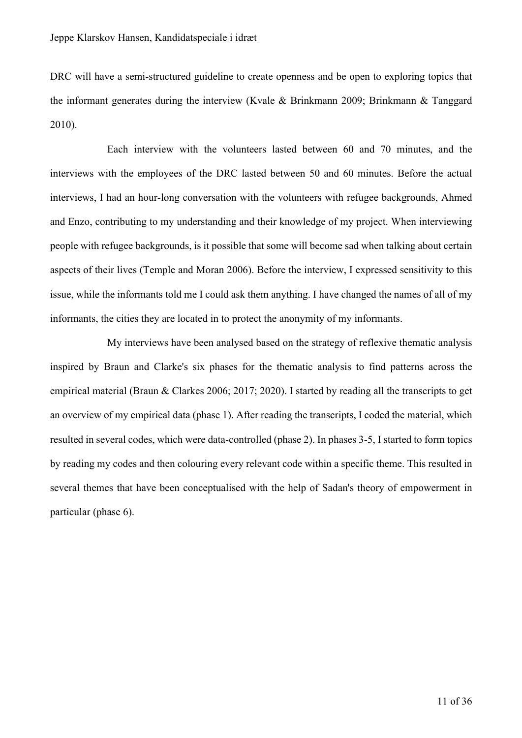DRC will have a semi-structured guideline to create openness and be open to exploring topics that the informant generates during the interview (Kvale & Brinkmann 2009; Brinkmann & Tanggard 2010).

Each interview with the volunteers lasted between 60 and 70 minutes, and the interviews with the employees of the DRC lasted between 50 and 60 minutes. Before the actual interviews, I had an hour-long conversation with the volunteers with refugee backgrounds, Ahmed and Enzo, contributing to my understanding and their knowledge of my project. When interviewing people with refugee backgrounds, is it possible that some will become sad when talking about certain aspects of their lives (Temple and Moran 2006). Before the interview, I expressed sensitivity to this issue, while the informants told me I could ask them anything. I have changed the names of all of my informants, the cities they are located in to protect the anonymity of my informants.

My interviews have been analysed based on the strategy of reflexive thematic analysis inspired by Braun and Clarke's six phases for the thematic analysis to find patterns across the empirical material (Braun & Clarkes 2006; 2017; 2020). I started by reading all the transcripts to get an overview of my empirical data (phase 1). After reading the transcripts, I coded the material, which resulted in several codes, which were data-controlled (phase 2). In phases 3-5, I started to form topics by reading my codes and then colouring every relevant code within a specific theme. This resulted in several themes that have been conceptualised with the help of Sadan's theory of empowerment in particular (phase 6).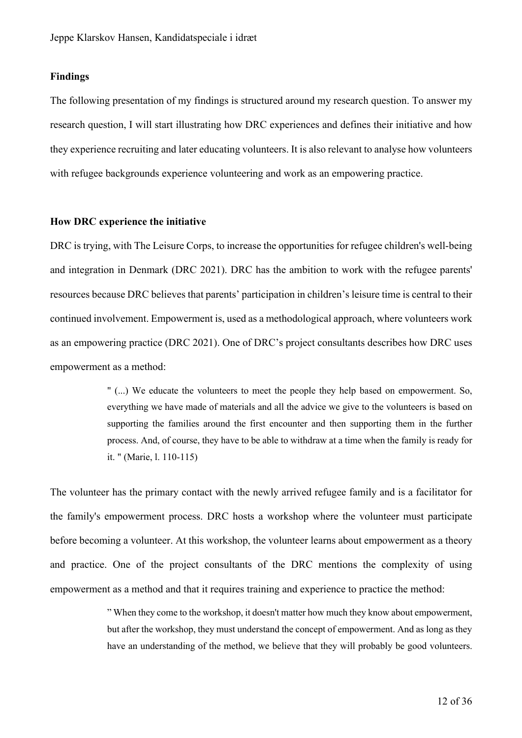#### **Findings**

The following presentation of my findings is structured around my research question. To answer my research question, I will start illustrating how DRC experiences and defines their initiative and how they experience recruiting and later educating volunteers. It is also relevant to analyse how volunteers with refugee backgrounds experience volunteering and work as an empowering practice.

#### **How DRC experience the initiative**

DRC is trying, with The Leisure Corps, to increase the opportunities for refugee children's well-being and integration in Denmark (DRC 2021). DRC has the ambition to work with the refugee parents' resources because DRC believes that parents' participation in children's leisure time is central to their continued involvement. Empowerment is, used as a methodological approach, where volunteers work as an empowering practice (DRC 2021). One of DRC's project consultants describes how DRC uses empowerment as a method:

> " (...) We educate the volunteers to meet the people they help based on empowerment. So, everything we have made of materials and all the advice we give to the volunteers is based on supporting the families around the first encounter and then supporting them in the further process. And, of course, they have to be able to withdraw at a time when the family is ready for it. " (Marie, l. 110-115)

The volunteer has the primary contact with the newly arrived refugee family and is a facilitator for the family's empowerment process. DRC hosts a workshop where the volunteer must participate before becoming a volunteer. At this workshop, the volunteer learns about empowerment as a theory and practice. One of the project consultants of the DRC mentions the complexity of using empowerment as a method and that it requires training and experience to practice the method:

> " When they come to the workshop, it doesn't matter how much they know about empowerment, but after the workshop, they must understand the concept of empowerment. And as long as they have an understanding of the method, we believe that they will probably be good volunteers.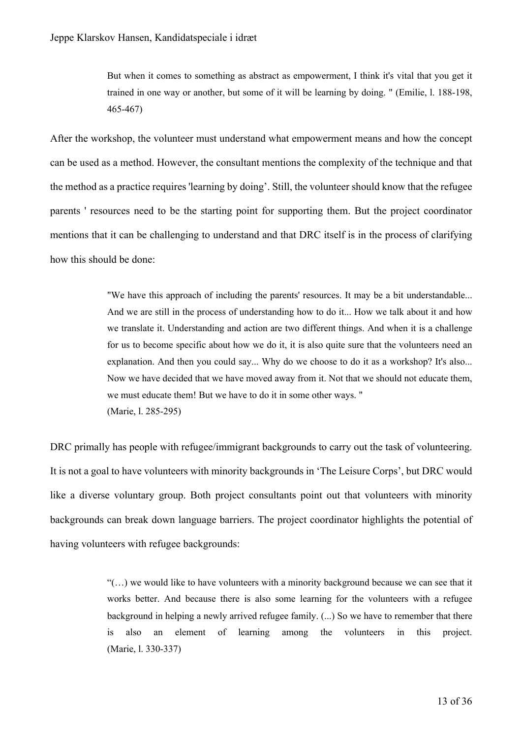But when it comes to something as abstract as empowerment, I think it's vital that you get it trained in one way or another, but some of it will be learning by doing. " (Emilie, l. 188-198, 465-467)

After the workshop, the volunteer must understand what empowerment means and how the concept can be used as a method. However, the consultant mentions the complexity of the technique and that the method as a practice requires 'learning by doing'. Still, the volunteer should know that the refugee parents ' resources need to be the starting point for supporting them. But the project coordinator mentions that it can be challenging to understand and that DRC itself is in the process of clarifying how this should be done:

> "We have this approach of including the parents' resources. It may be a bit understandable... And we are still in the process of understanding how to do it... How we talk about it and how we translate it. Understanding and action are two different things. And when it is a challenge for us to become specific about how we do it, it is also quite sure that the volunteers need an explanation. And then you could say... Why do we choose to do it as a workshop? It's also... Now we have decided that we have moved away from it. Not that we should not educate them, we must educate them! But we have to do it in some other ways. " (Marie, l. 285-295)

DRC primally has people with refugee/immigrant backgrounds to carry out the task of volunteering. It is not a goal to have volunteers with minority backgrounds in 'The Leisure Corps', but DRC would like a diverse voluntary group. Both project consultants point out that volunteers with minority backgrounds can break down language barriers. The project coordinator highlights the potential of having volunteers with refugee backgrounds:

> $((...))$  we would like to have volunteers with a minority background because we can see that it works better. And because there is also some learning for the volunteers with a refugee background in helping a newly arrived refugee family. (...) So we have to remember that there is also an element of learning among the volunteers in this project. (Marie, l. 330-337)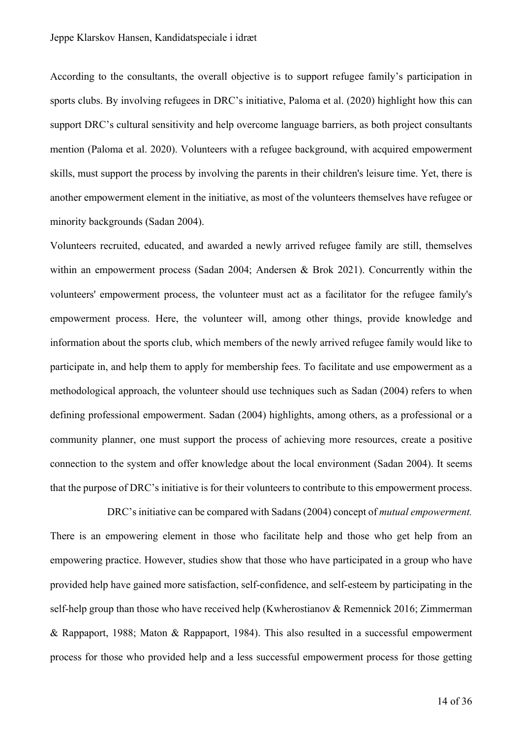According to the consultants, the overall objective is to support refugee family's participation in sports clubs. By involving refugees in DRC's initiative, Paloma et al. (2020) highlight how this can support DRC's cultural sensitivity and help overcome language barriers, as both project consultants mention (Paloma et al. 2020). Volunteers with a refugee background, with acquired empowerment skills, must support the process by involving the parents in their children's leisure time. Yet, there is another empowerment element in the initiative, as most of the volunteers themselves have refugee or minority backgrounds (Sadan 2004).

Volunteers recruited, educated, and awarded a newly arrived refugee family are still, themselves within an empowerment process (Sadan 2004; Andersen & Brok 2021). Concurrently within the volunteers' empowerment process, the volunteer must act as a facilitator for the refugee family's empowerment process. Here, the volunteer will, among other things, provide knowledge and information about the sports club, which members of the newly arrived refugee family would like to participate in, and help them to apply for membership fees. To facilitate and use empowerment as a methodological approach, the volunteer should use techniques such as Sadan (2004) refers to when defining professional empowerment. Sadan (2004) highlights, among others, as a professional or a community planner, one must support the process of achieving more resources, create a positive connection to the system and offer knowledge about the local environment (Sadan 2004). It seems that the purpose of DRC's initiative is for their volunteers to contribute to this empowerment process.

DRC's initiative can be compared with Sadans (2004) concept of *mutual empowerment.*  There is an empowering element in those who facilitate help and those who get help from an empowering practice. However, studies show that those who have participated in a group who have provided help have gained more satisfaction, self-confidence, and self-esteem by participating in the self-help group than those who have received help (Kwherostianov & Remennick 2016; Zimmerman & Rappaport, 1988; Maton & Rappaport, 1984). This also resulted in a successful empowerment process for those who provided help and a less successful empowerment process for those getting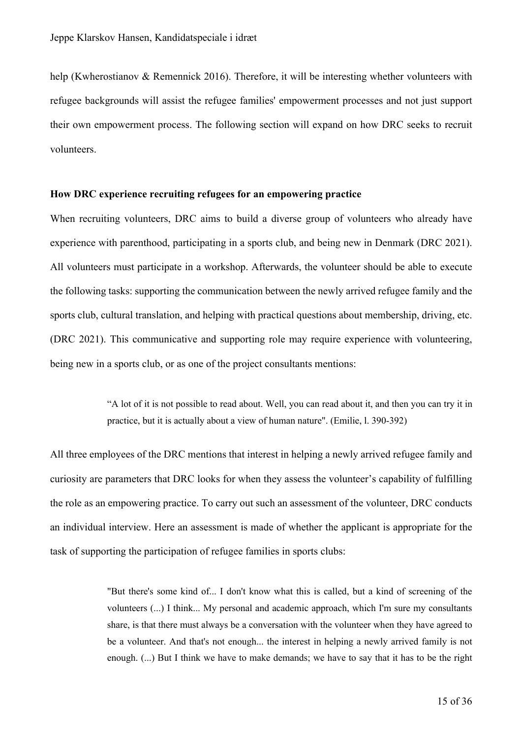help (Kwherostianov & Remennick 2016). Therefore, it will be interesting whether volunteers with refugee backgrounds will assist the refugee families' empowerment processes and not just support their own empowerment process. The following section will expand on how DRC seeks to recruit volunteers.

#### **How DRC experience recruiting refugees for an empowering practice**

When recruiting volunteers, DRC aims to build a diverse group of volunteers who already have experience with parenthood, participating in a sports club, and being new in Denmark (DRC 2021). All volunteers must participate in a workshop. Afterwards, the volunteer should be able to execute the following tasks: supporting the communication between the newly arrived refugee family and the sports club, cultural translation, and helping with practical questions about membership, driving, etc. (DRC 2021). This communicative and supporting role may require experience with volunteering, being new in a sports club, or as one of the project consultants mentions:

> "A lot of it is not possible to read about. Well, you can read about it, and then you can try it in practice, but it is actually about a view of human nature". (Emilie, l. 390-392)

All three employees of the DRC mentions that interest in helping a newly arrived refugee family and curiosity are parameters that DRC looks for when they assess the volunteer's capability of fulfilling the role as an empowering practice. To carry out such an assessment of the volunteer, DRC conducts an individual interview. Here an assessment is made of whether the applicant is appropriate for the task of supporting the participation of refugee families in sports clubs:

> "But there's some kind of... I don't know what this is called, but a kind of screening of the volunteers (...) I think... My personal and academic approach, which I'm sure my consultants share, is that there must always be a conversation with the volunteer when they have agreed to be a volunteer. And that's not enough... the interest in helping a newly arrived family is not enough. (...) But I think we have to make demands; we have to say that it has to be the right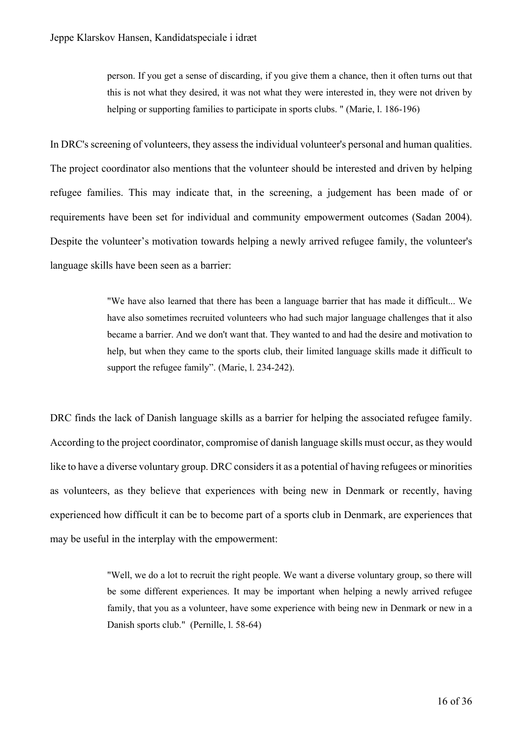person. If you get a sense of discarding, if you give them a chance, then it often turns out that this is not what they desired, it was not what they were interested in, they were not driven by helping or supporting families to participate in sports clubs. " (Marie, l. 186-196)

In DRC's screening of volunteers, they assess the individual volunteer's personal and human qualities. The project coordinator also mentions that the volunteer should be interested and driven by helping refugee families. This may indicate that, in the screening, a judgement has been made of or requirements have been set for individual and community empowerment outcomes (Sadan 2004). Despite the volunteer's motivation towards helping a newly arrived refugee family, the volunteer's language skills have been seen as a barrier:

> "We have also learned that there has been a language barrier that has made it difficult... We have also sometimes recruited volunteers who had such major language challenges that it also became a barrier. And we don't want that. They wanted to and had the desire and motivation to help, but when they came to the sports club, their limited language skills made it difficult to support the refugee family". (Marie, l. 234-242).

DRC finds the lack of Danish language skills as a barrier for helping the associated refugee family. According to the project coordinator, compromise of danish language skills must occur, as they would like to have a diverse voluntary group. DRC considers it as a potential of having refugees or minorities as volunteers, as they believe that experiences with being new in Denmark or recently, having experienced how difficult it can be to become part of a sports club in Denmark, are experiences that may be useful in the interplay with the empowerment:

> "Well, we do a lot to recruit the right people. We want a diverse voluntary group, so there will be some different experiences. It may be important when helping a newly arrived refugee family, that you as a volunteer, have some experience with being new in Denmark or new in a Danish sports club." (Pernille, l. 58-64)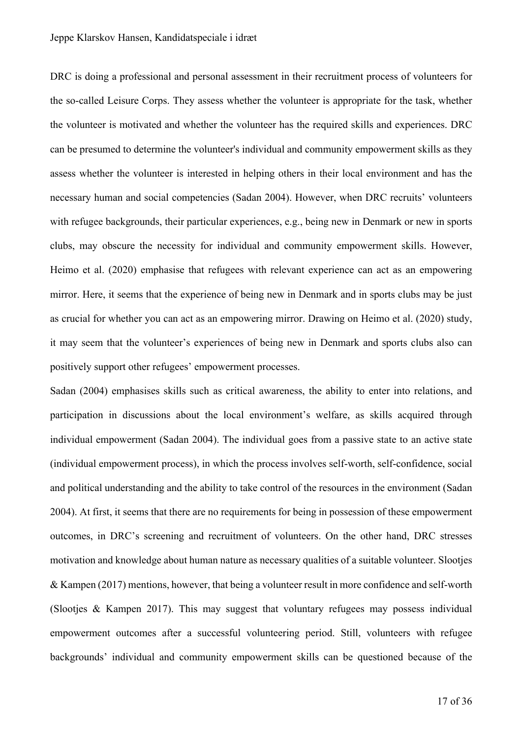DRC is doing a professional and personal assessment in their recruitment process of volunteers for the so-called Leisure Corps. They assess whether the volunteer is appropriate for the task, whether the volunteer is motivated and whether the volunteer has the required skills and experiences. DRC can be presumed to determine the volunteer's individual and community empowerment skills as they assess whether the volunteer is interested in helping others in their local environment and has the necessary human and social competencies (Sadan 2004). However, when DRC recruits' volunteers with refugee backgrounds, their particular experiences, e.g., being new in Denmark or new in sports clubs, may obscure the necessity for individual and community empowerment skills. However, Heimo et al. (2020) emphasise that refugees with relevant experience can act as an empowering mirror. Here, it seems that the experience of being new in Denmark and in sports clubs may be just as crucial for whether you can act as an empowering mirror. Drawing on Heimo et al. (2020) study, it may seem that the volunteer's experiences of being new in Denmark and sports clubs also can positively support other refugees' empowerment processes.

Sadan (2004) emphasises skills such as critical awareness, the ability to enter into relations, and participation in discussions about the local environment's welfare, as skills acquired through individual empowerment (Sadan 2004). The individual goes from a passive state to an active state (individual empowerment process), in which the process involves self-worth, self-confidence, social and political understanding and the ability to take control of the resources in the environment (Sadan 2004). At first, it seems that there are no requirements for being in possession of these empowerment outcomes, in DRC's screening and recruitment of volunteers. On the other hand, DRC stresses motivation and knowledge about human nature as necessary qualities of a suitable volunteer. Slootjes & Kampen (2017) mentions, however, that being a volunteer result in more confidence and self-worth (Slootjes & Kampen 2017). This may suggest that voluntary refugees may possess individual empowerment outcomes after a successful volunteering period. Still, volunteers with refugee backgrounds' individual and community empowerment skills can be questioned because of the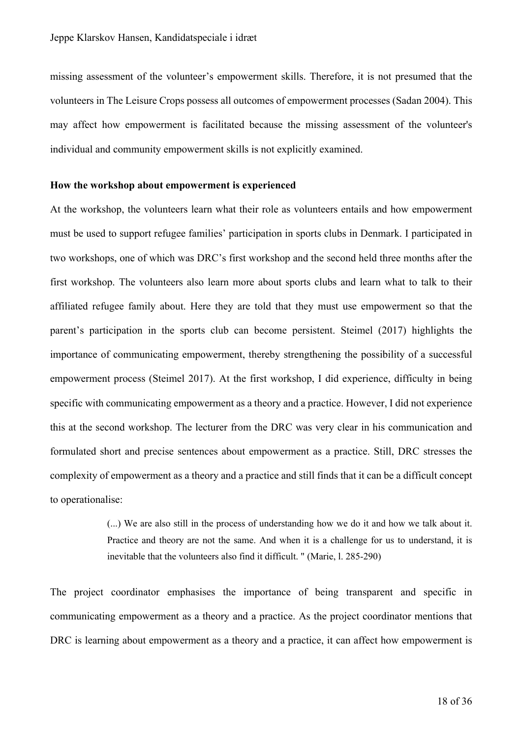missing assessment of the volunteer's empowerment skills. Therefore, it is not presumed that the volunteers in The Leisure Crops possess all outcomes of empowerment processes (Sadan 2004). This may affect how empowerment is facilitated because the missing assessment of the volunteer's individual and community empowerment skills is not explicitly examined.

#### **How the workshop about empowerment is experienced**

At the workshop, the volunteers learn what their role as volunteers entails and how empowerment must be used to support refugee families' participation in sports clubs in Denmark. I participated in two workshops, one of which was DRC's first workshop and the second held three months after the first workshop. The volunteers also learn more about sports clubs and learn what to talk to their affiliated refugee family about. Here they are told that they must use empowerment so that the parent's participation in the sports club can become persistent. Steimel (2017) highlights the importance of communicating empowerment, thereby strengthening the possibility of a successful empowerment process (Steimel 2017). At the first workshop, I did experience, difficulty in being specific with communicating empowerment as a theory and a practice. However, I did not experience this at the second workshop. The lecturer from the DRC was very clear in his communication and formulated short and precise sentences about empowerment as a practice. Still, DRC stresses the complexity of empowerment as a theory and a practice and still finds that it can be a difficult concept to operationalise:

> (...) We are also still in the process of understanding how we do it and how we talk about it. Practice and theory are not the same. And when it is a challenge for us to understand, it is inevitable that the volunteers also find it difficult. " (Marie, l. 285-290)

The project coordinator emphasises the importance of being transparent and specific in communicating empowerment as a theory and a practice. As the project coordinator mentions that DRC is learning about empowerment as a theory and a practice, it can affect how empowerment is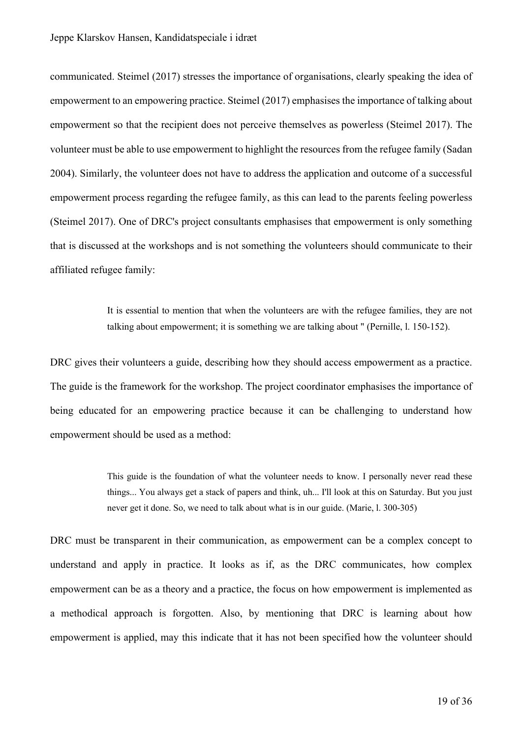communicated. Steimel (2017) stresses the importance of organisations, clearly speaking the idea of empowerment to an empowering practice. Steimel (2017) emphasises the importance of talking about empowerment so that the recipient does not perceive themselves as powerless (Steimel 2017). The volunteer must be able to use empowerment to highlight the resources from the refugee family (Sadan 2004). Similarly, the volunteer does not have to address the application and outcome of a successful empowerment process regarding the refugee family, as this can lead to the parents feeling powerless (Steimel 2017). One of DRC's project consultants emphasises that empowerment is only something that is discussed at the workshops and is not something the volunteers should communicate to their affiliated refugee family:

> It is essential to mention that when the volunteers are with the refugee families, they are not talking about empowerment; it is something we are talking about " (Pernille, l. 150-152).

DRC gives their volunteers a guide, describing how they should access empowerment as a practice. The guide is the framework for the workshop. The project coordinator emphasises the importance of being educated for an empowering practice because it can be challenging to understand how empowerment should be used as a method:

> This guide is the foundation of what the volunteer needs to know. I personally never read these things... You always get a stack of papers and think, uh... I'll look at this on Saturday. But you just never get it done. So, we need to talk about what is in our guide. (Marie, l. 300-305)

DRC must be transparent in their communication, as empowerment can be a complex concept to understand and apply in practice. It looks as if, as the DRC communicates, how complex empowerment can be as a theory and a practice, the focus on how empowerment is implemented as a methodical approach is forgotten. Also, by mentioning that DRC is learning about how empowerment is applied, may this indicate that it has not been specified how the volunteer should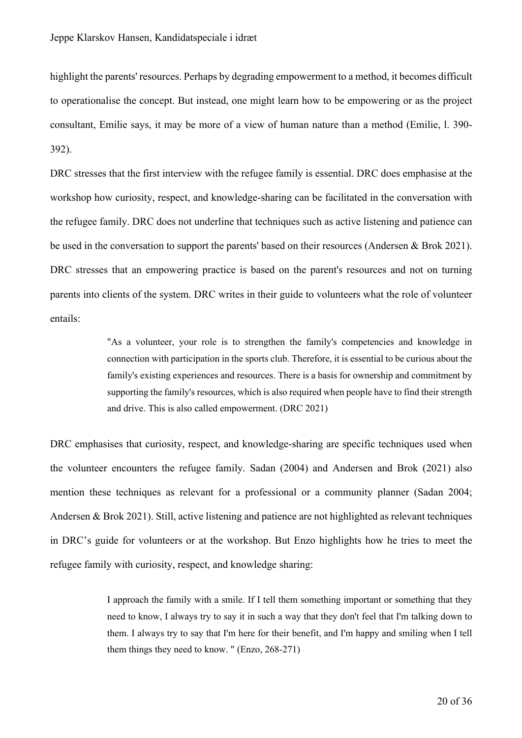highlight the parents' resources. Perhaps by degrading empowerment to a method, it becomes difficult to operationalise the concept. But instead, one might learn how to be empowering or as the project consultant, Emilie says, it may be more of a view of human nature than a method (Emilie, l. 390- 392).

DRC stresses that the first interview with the refugee family is essential. DRC does emphasise at the workshop how curiosity, respect, and knowledge-sharing can be facilitated in the conversation with the refugee family. DRC does not underline that techniques such as active listening and patience can be used in the conversation to support the parents' based on their resources (Andersen & Brok 2021). DRC stresses that an empowering practice is based on the parent's resources and not on turning parents into clients of the system. DRC writes in their guide to volunteers what the role of volunteer entails:

> "As a volunteer, your role is to strengthen the family's competencies and knowledge in connection with participation in the sports club. Therefore, it is essential to be curious about the family's existing experiences and resources. There is a basis for ownership and commitment by supporting the family's resources, which is also required when people have to find their strength and drive. This is also called empowerment. (DRC 2021)

DRC emphasises that curiosity, respect, and knowledge-sharing are specific techniques used when the volunteer encounters the refugee family. Sadan (2004) and Andersen and Brok (2021) also mention these techniques as relevant for a professional or a community planner (Sadan 2004; Andersen & Brok 2021). Still, active listening and patience are not highlighted as relevant techniques in DRC's guide for volunteers or at the workshop. But Enzo highlights how he tries to meet the refugee family with curiosity, respect, and knowledge sharing:

> I approach the family with a smile. If I tell them something important or something that they need to know, I always try to say it in such a way that they don't feel that I'm talking down to them. I always try to say that I'm here for their benefit, and I'm happy and smiling when I tell them things they need to know. " (Enzo, 268-271)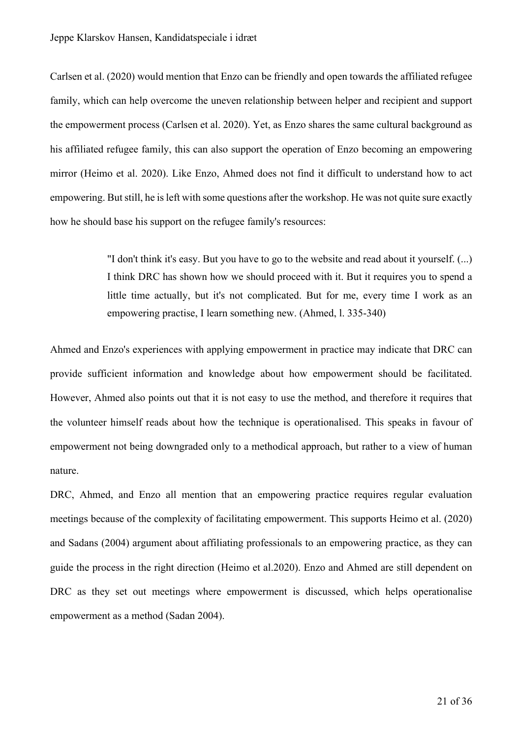Carlsen et al. (2020) would mention that Enzo can be friendly and open towards the affiliated refugee family, which can help overcome the uneven relationship between helper and recipient and support the empowerment process (Carlsen et al. 2020). Yet, as Enzo shares the same cultural background as his affiliated refugee family, this can also support the operation of Enzo becoming an empowering mirror (Heimo et al. 2020). Like Enzo, Ahmed does not find it difficult to understand how to act empowering. But still, he is left with some questions after the workshop. He was not quite sure exactly how he should base his support on the refugee family's resources:

> "I don't think it's easy. But you have to go to the website and read about it yourself. (...) I think DRC has shown how we should proceed with it. But it requires you to spend a little time actually, but it's not complicated. But for me, every time I work as an empowering practise, I learn something new. (Ahmed, l. 335-340)

Ahmed and Enzo's experiences with applying empowerment in practice may indicate that DRC can provide sufficient information and knowledge about how empowerment should be facilitated. However, Ahmed also points out that it is not easy to use the method, and therefore it requires that the volunteer himself reads about how the technique is operationalised. This speaks in favour of empowerment not being downgraded only to a methodical approach, but rather to a view of human nature.

DRC, Ahmed, and Enzo all mention that an empowering practice requires regular evaluation meetings because of the complexity of facilitating empowerment. This supports Heimo et al. (2020) and Sadans (2004) argument about affiliating professionals to an empowering practice, as they can guide the process in the right direction (Heimo et al.2020). Enzo and Ahmed are still dependent on DRC as they set out meetings where empowerment is discussed, which helps operationalise empowerment as a method (Sadan 2004).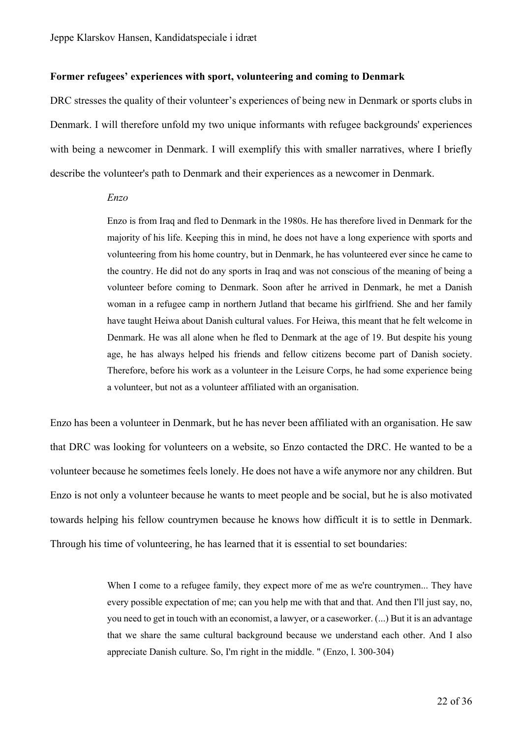#### **Former refugees' experiences with sport, volunteering and coming to Denmark**

DRC stresses the quality of their volunteer's experiences of being new in Denmark or sports clubs in Denmark. I will therefore unfold my two unique informants with refugee backgrounds' experiences with being a newcomer in Denmark. I will exemplify this with smaller narratives, where I briefly describe the volunteer's path to Denmark and their experiences as a newcomer in Denmark.

#### *Enzo*

Enzo is from Iraq and fled to Denmark in the 1980s. He has therefore lived in Denmark for the majority of his life. Keeping this in mind, he does not have a long experience with sports and volunteering from his home country, but in Denmark, he has volunteered ever since he came to the country. He did not do any sports in Iraq and was not conscious of the meaning of being a volunteer before coming to Denmark. Soon after he arrived in Denmark, he met a Danish woman in a refugee camp in northern Jutland that became his girlfriend. She and her family have taught Heiwa about Danish cultural values. For Heiwa, this meant that he felt welcome in Denmark. He was all alone when he fled to Denmark at the age of 19. But despite his young age, he has always helped his friends and fellow citizens become part of Danish society. Therefore, before his work as a volunteer in the Leisure Corps, he had some experience being a volunteer, but not as a volunteer affiliated with an organisation.

Enzo has been a volunteer in Denmark, but he has never been affiliated with an organisation. He saw that DRC was looking for volunteers on a website, so Enzo contacted the DRC. He wanted to be a volunteer because he sometimes feels lonely. He does not have a wife anymore nor any children. But Enzo is not only a volunteer because he wants to meet people and be social, but he is also motivated towards helping his fellow countrymen because he knows how difficult it is to settle in Denmark. Through his time of volunteering, he has learned that it is essential to set boundaries:

> When I come to a refugee family, they expect more of me as we're countrymen... They have every possible expectation of me; can you help me with that and that. And then I'll just say, no, you need to get in touch with an economist, a lawyer, or a caseworker. (...) But it is an advantage that we share the same cultural background because we understand each other. And I also appreciate Danish culture. So, I'm right in the middle. " (Enzo, l. 300-304)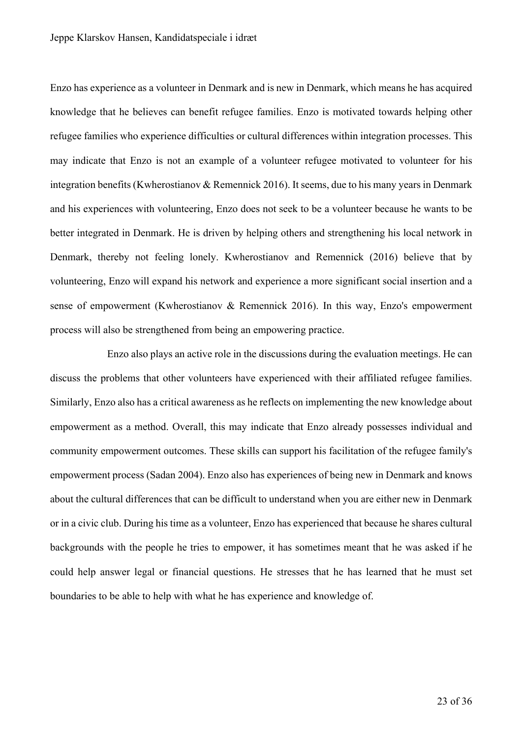Enzo has experience as a volunteer in Denmark and is new in Denmark, which means he has acquired knowledge that he believes can benefit refugee families. Enzo is motivated towards helping other refugee families who experience difficulties or cultural differences within integration processes. This may indicate that Enzo is not an example of a volunteer refugee motivated to volunteer for his integration benefits (Kwherostianov & Remennick 2016). It seems, due to his many years in Denmark and his experiences with volunteering, Enzo does not seek to be a volunteer because he wants to be better integrated in Denmark. He is driven by helping others and strengthening his local network in Denmark, thereby not feeling lonely. Kwherostianov and Remennick (2016) believe that by volunteering, Enzo will expand his network and experience a more significant social insertion and a sense of empowerment (Kwherostianov & Remennick 2016). In this way, Enzo's empowerment process will also be strengthened from being an empowering practice.

Enzo also plays an active role in the discussions during the evaluation meetings. He can discuss the problems that other volunteers have experienced with their affiliated refugee families. Similarly, Enzo also has a critical awareness as he reflects on implementing the new knowledge about empowerment as a method. Overall, this may indicate that Enzo already possesses individual and community empowerment outcomes. These skills can support his facilitation of the refugee family's empowerment process (Sadan 2004). Enzo also has experiences of being new in Denmark and knows about the cultural differences that can be difficult to understand when you are either new in Denmark or in a civic club. During his time as a volunteer, Enzo has experienced that because he shares cultural backgrounds with the people he tries to empower, it has sometimes meant that he was asked if he could help answer legal or financial questions. He stresses that he has learned that he must set boundaries to be able to help with what he has experience and knowledge of.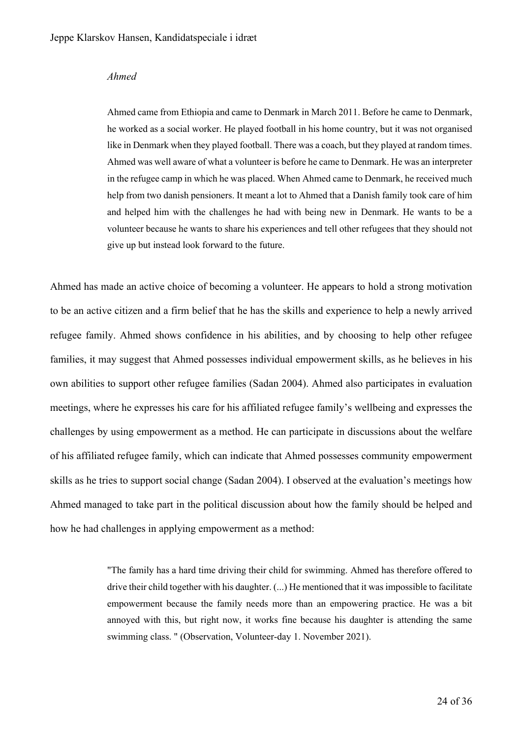#### *Ahmed*

Ahmed came from Ethiopia and came to Denmark in March 2011. Before he came to Denmark, he worked as a social worker. He played football in his home country, but it was not organised like in Denmark when they played football. There was a coach, but they played at random times. Ahmed was well aware of what a volunteer is before he came to Denmark. He was an interpreter in the refugee camp in which he was placed. When Ahmed came to Denmark, he received much help from two danish pensioners. It meant a lot to Ahmed that a Danish family took care of him and helped him with the challenges he had with being new in Denmark. He wants to be a volunteer because he wants to share his experiences and tell other refugees that they should not give up but instead look forward to the future.

Ahmed has made an active choice of becoming a volunteer. He appears to hold a strong motivation to be an active citizen and a firm belief that he has the skills and experience to help a newly arrived refugee family. Ahmed shows confidence in his abilities, and by choosing to help other refugee families, it may suggest that Ahmed possesses individual empowerment skills, as he believes in his own abilities to support other refugee families (Sadan 2004). Ahmed also participates in evaluation meetings, where he expresses his care for his affiliated refugee family's wellbeing and expresses the challenges by using empowerment as a method. He can participate in discussions about the welfare of his affiliated refugee family, which can indicate that Ahmed possesses community empowerment skills as he tries to support social change (Sadan 2004). I observed at the evaluation's meetings how Ahmed managed to take part in the political discussion about how the family should be helped and how he had challenges in applying empowerment as a method:

> "The family has a hard time driving their child for swimming. Ahmed has therefore offered to drive their child together with his daughter. (...) He mentioned that it was impossible to facilitate empowerment because the family needs more than an empowering practice. He was a bit annoyed with this, but right now, it works fine because his daughter is attending the same swimming class. " (Observation, Volunteer-day 1. November 2021).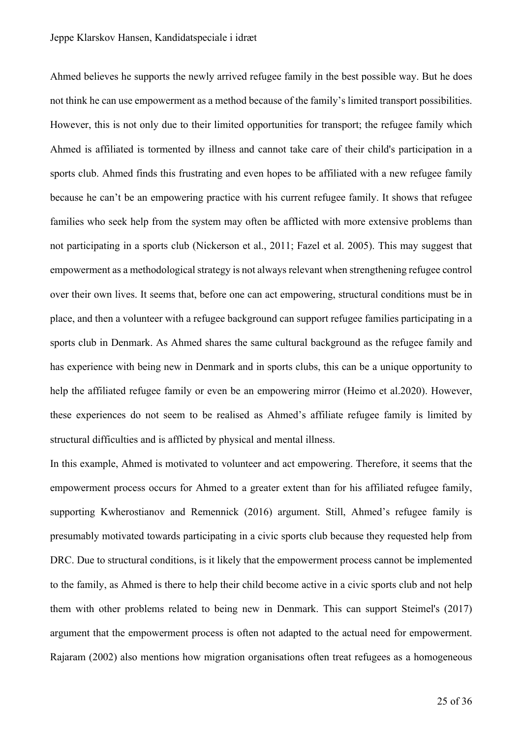Ahmed believes he supports the newly arrived refugee family in the best possible way. But he does not think he can use empowerment as a method because of the family's limited transport possibilities. However, this is not only due to their limited opportunities for transport; the refugee family which Ahmed is affiliated is tormented by illness and cannot take care of their child's participation in a sports club. Ahmed finds this frustrating and even hopes to be affiliated with a new refugee family because he can't be an empowering practice with his current refugee family. It shows that refugee families who seek help from the system may often be afflicted with more extensive problems than not participating in a sports club (Nickerson et al., 2011; Fazel et al. 2005). This may suggest that empowerment as a methodological strategy is not always relevant when strengthening refugee control over their own lives. It seems that, before one can act empowering, structural conditions must be in place, and then a volunteer with a refugee background can support refugee families participating in a sports club in Denmark. As Ahmed shares the same cultural background as the refugee family and has experience with being new in Denmark and in sports clubs, this can be a unique opportunity to help the affiliated refugee family or even be an empowering mirror (Heimo et al.2020). However, these experiences do not seem to be realised as Ahmed's affiliate refugee family is limited by structural difficulties and is afflicted by physical and mental illness.

In this example, Ahmed is motivated to volunteer and act empowering. Therefore, it seems that the empowerment process occurs for Ahmed to a greater extent than for his affiliated refugee family, supporting Kwherostianov and Remennick (2016) argument. Still, Ahmed's refugee family is presumably motivated towards participating in a civic sports club because they requested help from DRC. Due to structural conditions, is it likely that the empowerment process cannot be implemented to the family, as Ahmed is there to help their child become active in a civic sports club and not help them with other problems related to being new in Denmark. This can support Steimel's (2017) argument that the empowerment process is often not adapted to the actual need for empowerment. Rajaram (2002) also mentions how migration organisations often treat refugees as a homogeneous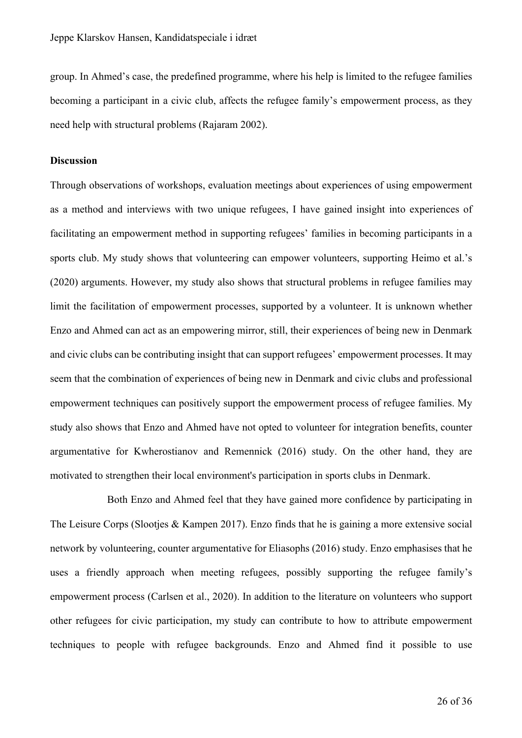group. In Ahmed's case, the predefined programme, where his help is limited to the refugee families becoming a participant in a civic club, affects the refugee family's empowerment process, as they need help with structural problems (Rajaram 2002).

## **Discussion**

Through observations of workshops, evaluation meetings about experiences of using empowerment as a method and interviews with two unique refugees, I have gained insight into experiences of facilitating an empowerment method in supporting refugees' families in becoming participants in a sports club. My study shows that volunteering can empower volunteers, supporting Heimo et al.'s (2020) arguments. However, my study also shows that structural problems in refugee families may limit the facilitation of empowerment processes, supported by a volunteer. It is unknown whether Enzo and Ahmed can act as an empowering mirror, still, their experiences of being new in Denmark and civic clubs can be contributing insight that can support refugees' empowerment processes. It may seem that the combination of experiences of being new in Denmark and civic clubs and professional empowerment techniques can positively support the empowerment process of refugee families. My study also shows that Enzo and Ahmed have not opted to volunteer for integration benefits, counter argumentative for Kwherostianov and Remennick (2016) study. On the other hand, they are motivated to strengthen their local environment's participation in sports clubs in Denmark.

Both Enzo and Ahmed feel that they have gained more confidence by participating in The Leisure Corps (Slooties & Kampen 2017). Enzo finds that he is gaining a more extensive social network by volunteering, counter argumentative for Eliasophs (2016) study. Enzo emphasises that he uses a friendly approach when meeting refugees, possibly supporting the refugee family's empowerment process (Carlsen et al., 2020). In addition to the literature on volunteers who support other refugees for civic participation, my study can contribute to how to attribute empowerment techniques to people with refugee backgrounds. Enzo and Ahmed find it possible to use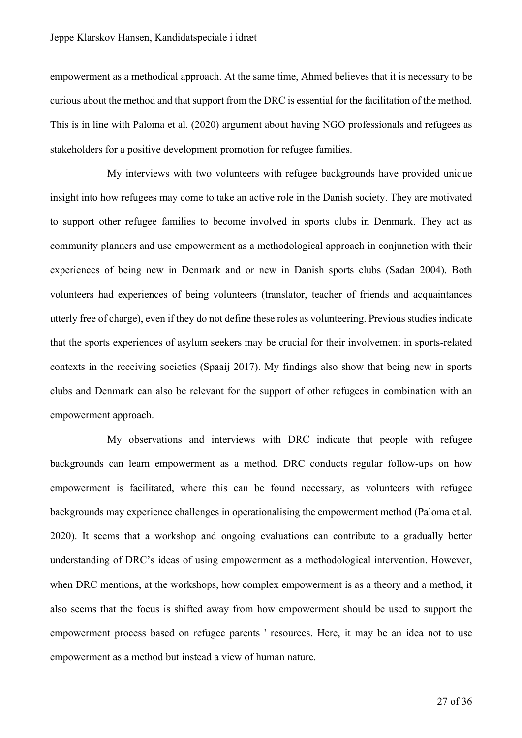empowerment as a methodical approach. At the same time, Ahmed believes that it is necessary to be curious about the method and that support from the DRC is essential for the facilitation of the method. This is in line with Paloma et al. (2020) argument about having NGO professionals and refugees as stakeholders for a positive development promotion for refugee families.

My interviews with two volunteers with refugee backgrounds have provided unique insight into how refugees may come to take an active role in the Danish society. They are motivated to support other refugee families to become involved in sports clubs in Denmark. They act as community planners and use empowerment as a methodological approach in conjunction with their experiences of being new in Denmark and or new in Danish sports clubs (Sadan 2004). Both volunteers had experiences of being volunteers (translator, teacher of friends and acquaintances utterly free of charge), even if they do not define these roles as volunteering. Previous studies indicate that the sports experiences of asylum seekers may be crucial for their involvement in sports-related contexts in the receiving societies (Spaaij 2017). My findings also show that being new in sports clubs and Denmark can also be relevant for the support of other refugees in combination with an empowerment approach.

My observations and interviews with DRC indicate that people with refugee backgrounds can learn empowerment as a method. DRC conducts regular follow-ups on how empowerment is facilitated, where this can be found necessary, as volunteers with refugee backgrounds may experience challenges in operationalising the empowerment method (Paloma et al. 2020). It seems that a workshop and ongoing evaluations can contribute to a gradually better understanding of DRC's ideas of using empowerment as a methodological intervention. However, when DRC mentions, at the workshops, how complex empowerment is as a theory and a method, it also seems that the focus is shifted away from how empowerment should be used to support the empowerment process based on refugee parents ' resources. Here, it may be an idea not to use empowerment as a method but instead a view of human nature.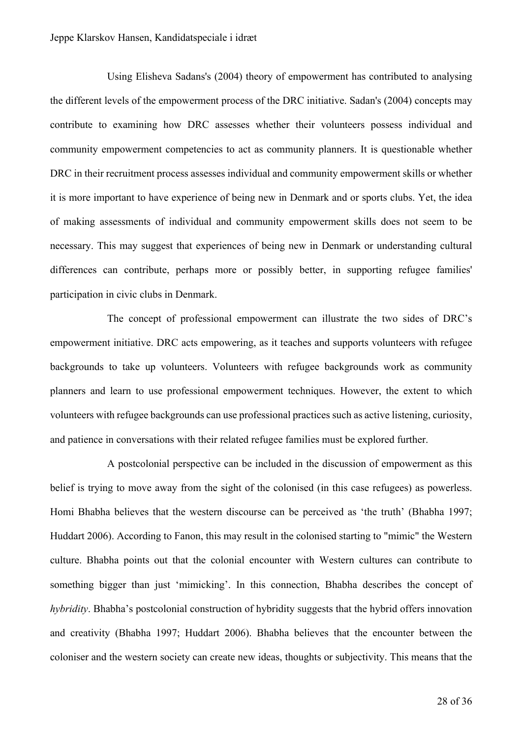Using Elisheva Sadans's (2004) theory of empowerment has contributed to analysing the different levels of the empowerment process of the DRC initiative. Sadan's (2004) concepts may contribute to examining how DRC assesses whether their volunteers possess individual and community empowerment competencies to act as community planners. It is questionable whether DRC in their recruitment process assesses individual and community empowerment skills or whether it is more important to have experience of being new in Denmark and or sports clubs. Yet, the idea of making assessments of individual and community empowerment skills does not seem to be necessary. This may suggest that experiences of being new in Denmark or understanding cultural differences can contribute, perhaps more or possibly better, in supporting refugee families' participation in civic clubs in Denmark.

The concept of professional empowerment can illustrate the two sides of DRC's empowerment initiative. DRC acts empowering, as it teaches and supports volunteers with refugee backgrounds to take up volunteers. Volunteers with refugee backgrounds work as community planners and learn to use professional empowerment techniques. However, the extent to which volunteers with refugee backgrounds can use professional practices such as active listening, curiosity, and patience in conversations with their related refugee families must be explored further.

A postcolonial perspective can be included in the discussion of empowerment as this belief is trying to move away from the sight of the colonised (in this case refugees) as powerless. Homi Bhabha believes that the western discourse can be perceived as 'the truth' (Bhabha 1997; Huddart 2006). According to Fanon, this may result in the colonised starting to "mimic" the Western culture. Bhabha points out that the colonial encounter with Western cultures can contribute to something bigger than just 'mimicking'. In this connection, Bhabha describes the concept of *hybridity*. Bhabha's postcolonial construction of hybridity suggests that the hybrid offers innovation and creativity (Bhabha 1997; Huddart 2006). Bhabha believes that the encounter between the coloniser and the western society can create new ideas, thoughts or subjectivity. This means that the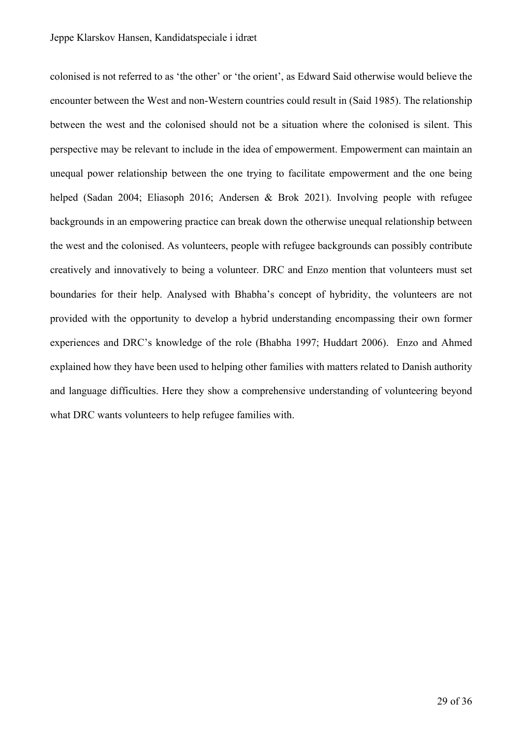colonised is not referred to as 'the other' or 'the orient', as Edward Said otherwise would believe the encounter between the West and non-Western countries could result in (Said 1985). The relationship between the west and the colonised should not be a situation where the colonised is silent. This perspective may be relevant to include in the idea of empowerment. Empowerment can maintain an unequal power relationship between the one trying to facilitate empowerment and the one being helped (Sadan 2004; Eliasoph 2016; Andersen & Brok 2021). Involving people with refugee backgrounds in an empowering practice can break down the otherwise unequal relationship between the west and the colonised. As volunteers, people with refugee backgrounds can possibly contribute creatively and innovatively to being a volunteer. DRC and Enzo mention that volunteers must set boundaries for their help. Analysed with Bhabha's concept of hybridity, the volunteers are not provided with the opportunity to develop a hybrid understanding encompassing their own former experiences and DRC's knowledge of the role (Bhabha 1997; Huddart 2006). Enzo and Ahmed explained how they have been used to helping other families with matters related to Danish authority and language difficulties. Here they show a comprehensive understanding of volunteering beyond what DRC wants volunteers to help refugee families with.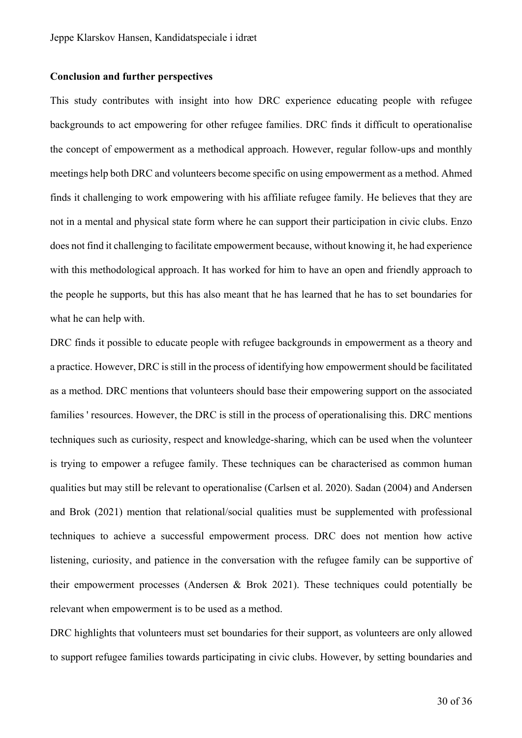#### **Conclusion and further perspectives**

This study contributes with insight into how DRC experience educating people with refugee backgrounds to act empowering for other refugee families. DRC finds it difficult to operationalise the concept of empowerment as a methodical approach. However, regular follow-ups and monthly meetings help both DRC and volunteers become specific on using empowerment as a method. Ahmed finds it challenging to work empowering with his affiliate refugee family. He believes that they are not in a mental and physical state form where he can support their participation in civic clubs. Enzo does not find it challenging to facilitate empowerment because, without knowing it, he had experience with this methodological approach. It has worked for him to have an open and friendly approach to the people he supports, but this has also meant that he has learned that he has to set boundaries for what he can help with.

DRC finds it possible to educate people with refugee backgrounds in empowerment as a theory and a practice. However, DRC is still in the process of identifying how empowerment should be facilitated as a method. DRC mentions that volunteers should base their empowering support on the associated families ' resources. However, the DRC is still in the process of operationalising this. DRC mentions techniques such as curiosity, respect and knowledge-sharing, which can be used when the volunteer is trying to empower a refugee family. These techniques can be characterised as common human qualities but may still be relevant to operationalise (Carlsen et al. 2020). Sadan (2004) and Andersen and Brok (2021) mention that relational/social qualities must be supplemented with professional techniques to achieve a successful empowerment process. DRC does not mention how active listening, curiosity, and patience in the conversation with the refugee family can be supportive of their empowerment processes (Andersen & Brok 2021). These techniques could potentially be relevant when empowerment is to be used as a method.

DRC highlights that volunteers must set boundaries for their support, as volunteers are only allowed to support refugee families towards participating in civic clubs. However, by setting boundaries and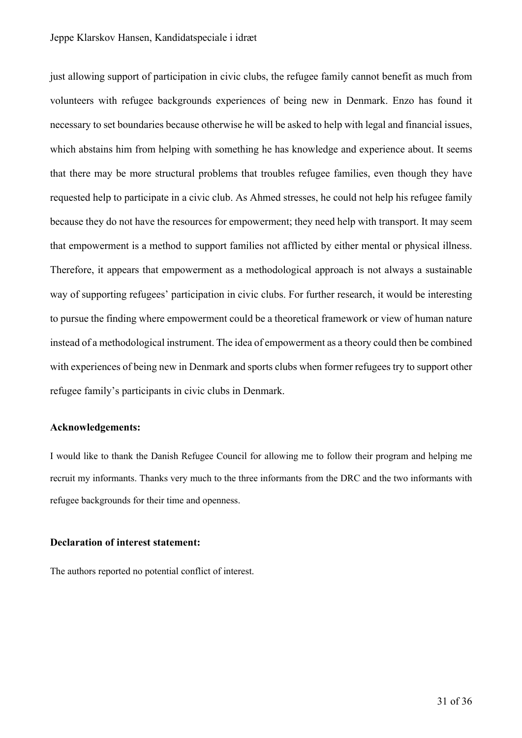just allowing support of participation in civic clubs, the refugee family cannot benefit as much from volunteers with refugee backgrounds experiences of being new in Denmark. Enzo has found it necessary to set boundaries because otherwise he will be asked to help with legal and financial issues, which abstains him from helping with something he has knowledge and experience about. It seems that there may be more structural problems that troubles refugee families, even though they have requested help to participate in a civic club. As Ahmed stresses, he could not help his refugee family because they do not have the resources for empowerment; they need help with transport. It may seem that empowerment is a method to support families not afflicted by either mental or physical illness. Therefore, it appears that empowerment as a methodological approach is not always a sustainable way of supporting refugees' participation in civic clubs. For further research, it would be interesting to pursue the finding where empowerment could be a theoretical framework or view of human nature instead of a methodological instrument. The idea of empowerment as a theory could then be combined with experiences of being new in Denmark and sports clubs when former refugees try to support other refugee family's participants in civic clubs in Denmark.

## **Acknowledgements:**

I would like to thank the Danish Refugee Council for allowing me to follow their program and helping me recruit my informants. Thanks very much to the three informants from the DRC and the two informants with refugee backgrounds for their time and openness.

#### **Declaration of interest statement:**

The authors reported no potential conflict of interest.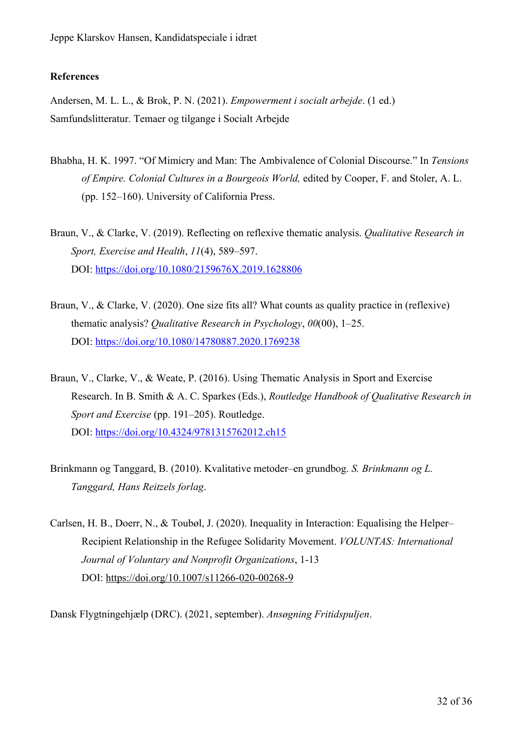## **References**

Andersen, M. L. L., & Brok, P. N. (2021). *Empowerment i socialt arbejde*. (1 ed.) Samfundslitteratur. Temaer og tilgange i Socialt Arbejde

- Bhabha, H. K. 1997. "Of Mimicry and Man: The Ambivalence of Colonial Discourse." In *Tensions of Empire. Colonial Cultures in a Bourgeois World,* edited by Cooper, F. and Stoler, A. L. (pp. 152–160). University of California Press.
- Braun, V., & Clarke, V. (2019). Reflecting on reflexive thematic analysis. *Qualitative Research in Sport, Exercise and Health*, *11*(4), 589–597. DOI: https://doi.org/10.1080/2159676X.2019.1628806
- Braun, V., & Clarke, V. (2020). One size fits all? What counts as quality practice in (reflexive) thematic analysis? *Qualitative Research in Psychology*, *00*(00), 1–25. DOI: https://doi.org/10.1080/14780887.2020.1769238
- Braun, V., Clarke, V., & Weate, P. (2016). Using Thematic Analysis in Sport and Exercise Research. In B. Smith & A. C. Sparkes (Eds.), *Routledge Handbook of Qualitative Research in Sport and Exercise* (pp. 191–205). Routledge. DOI: https://doi.org/10.4324/9781315762012.ch15
- Brinkmann og Tanggard, B. (2010). Kvalitative metoder–en grundbog. *S. Brinkmann og L. Tanggard, Hans Reitzels forlag*.
- Carlsen, H. B., Doerr, N., & Toubøl, J. (2020). Inequality in Interaction: Equalising the Helper– Recipient Relationship in the Refugee Solidarity Movement. *VOLUNTAS: International Journal of Voluntary and Nonprofit Organizations*, 1-13 DOI: https://doi.org/10.1007/s11266-020-00268-9

Dansk Flygtningehjælp (DRC). (2021, september). *Ansøgning Fritidspuljen*.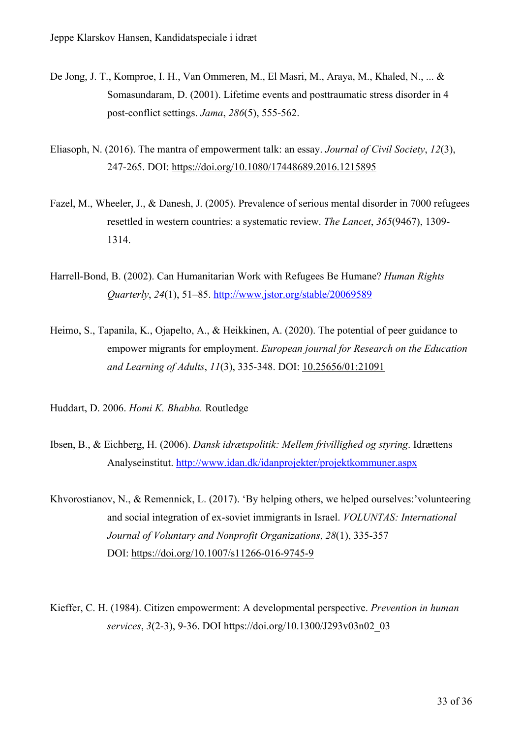- De Jong, J. T., Komproe, I. H., Van Ommeren, M., El Masri, M., Araya, M., Khaled, N., ... & Somasundaram, D. (2001). Lifetime events and posttraumatic stress disorder in 4 post-conflict settings. *Jama*, *286*(5), 555-562.
- Eliasoph, N. (2016). The mantra of empowerment talk: an essay. *Journal of Civil Society*, *12*(3), 247-265. DOI: https://doi.org/10.1080/17448689.2016.1215895
- Fazel, M., Wheeler, J., & Danesh, J. (2005). Prevalence of serious mental disorder in 7000 refugees resettled in western countries: a systematic review. *The Lancet*, *365*(9467), 1309- 1314.
- Harrell-Bond, B. (2002). Can Humanitarian Work with Refugees Be Humane? *Human Rights Quarterly*, *24*(1), 51–85. http://www.jstor.org/stable/20069589
- Heimo, S., Tapanila, K., Ojapelto, A., & Heikkinen, A. (2020). The potential of peer guidance to empower migrants for employment. *European journal for Research on the Education and Learning of Adults*, *11*(3), 335-348. DOI: 10.25656/01:21091

Huddart, D. 2006. *Homi K. Bhabha.* Routledge

- Ibsen, B., & Eichberg, H. (2006). *Dansk idrætspolitik: Mellem frivillighed og styring*. Idrættens Analyseinstitut. http://www.idan.dk/idanprojekter/projektkommuner.aspx
- Khvorostianov, N., & Remennick, L. (2017). 'By helping others, we helped ourselves:'volunteering and social integration of ex-soviet immigrants in Israel. *VOLUNTAS: International Journal of Voluntary and Nonprofit Organizations*, *28*(1), 335-357 DOI: https://doi.org/10.1007/s11266-016-9745-9
- Kieffer, C. H. (1984). Citizen empowerment: A developmental perspective. *Prevention in human services*, *3*(2-3), 9-36. DOI https://doi.org/10.1300/J293v03n02\_03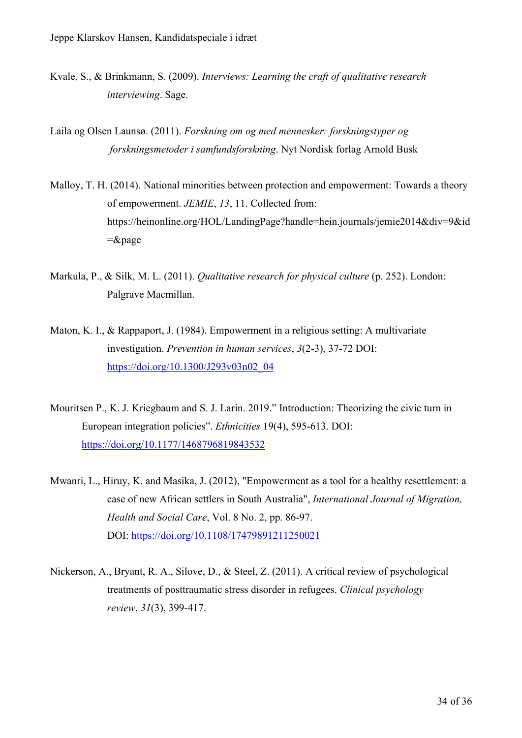- Kvale, S., & Brinkmann, S. (2009). *Interviews: Learning the craft of qualitative research interviewing*. Sage.
- Laila og Olsen Launsø. (2011). *Forskning om og med mennesker: forskningstyper og forskningsmetoder i samfundsforskning*. Nyt Nordisk forlag Arnold Busk
- Malloy, T. H. (2014). National minorities between protection and empowerment: Towards a theory of empowerment. *JEMIE*, *13*, 11. Collected from: https://heinonline.org/HOL/LandingPage?handle=hein.journals/jemie2014&div=9&id =&page
- Markula, P., & Silk, M. L. (2011). *Qualitative research for physical culture* (p. 252). London: Palgrave Macmillan.
- Maton, K. I., & Rappaport, J. (1984). Empowerment in a religious setting: A multivariate investigation. *Prevention in human services*, *3*(2-3), 37-72 DOI: https://doi.org/10.1300/J293v03n02\_04
- Mouritsen P., K. J. Kriegbaum and S. J. Larin. 2019." Introduction: Theorizing the civic turn in European integration policies". *Ethnicities* 19(4), 595-613. DOI: https://doi.org/10.1177/1468796819843532
- Mwanri, L., Hiruy, K. and Masika, J. (2012), "Empowerment as a tool for a healthy resettlement: a case of new African settlers in South Australia", *International Journal of Migration, Health and Social Care*, Vol. 8 No. 2, pp. 86-97. DOI: https://doi.org/10.1108/17479891211250021
- Nickerson, A., Bryant, R. A., Silove, D., & Steel, Z. (2011). A critical review of psychological treatments of posttraumatic stress disorder in refugees. *Clinical psychology review*, *31*(3), 399-417.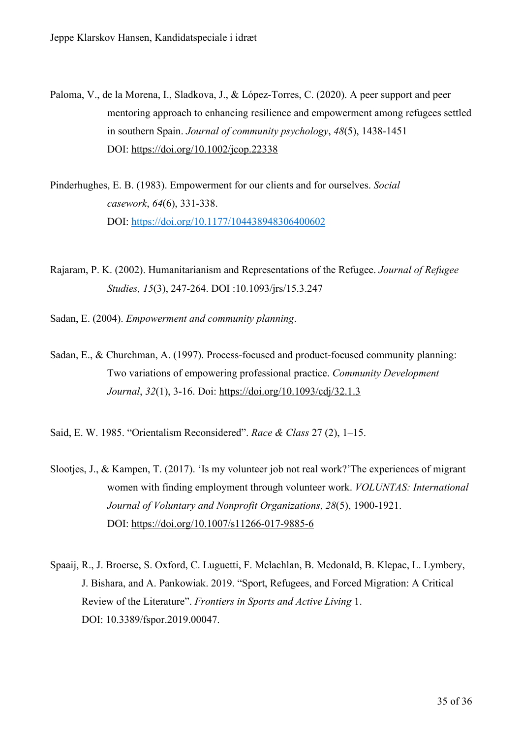- Paloma, V., de la Morena, I., Sladkova, J., & López‐Torres, C. (2020). A peer support and peer mentoring approach to enhancing resilience and empowerment among refugees settled in southern Spain. *Journal of community psychology*, *48*(5), 1438-1451 DOI: https://doi.org/10.1002/jcop.22338
- Pinderhughes, E. B. (1983). Empowerment for our clients and for ourselves. *Social casework*, *64*(6), 331-338. DOI: https://doi.org/10.1177/104438948306400602
- Rajaram, P. K. (2002). Humanitarianism and Representations of the Refugee. *Journal of Refugee Studies, 15*(3), 247-264. DOI :10.1093/jrs/15.3.247
- Sadan, E. (2004). *Empowerment and community planning*.
- Sadan, E., & Churchman, A. (1997). Process-focused and product-focused community planning: Two variations of empowering professional practice. *Community Development Journal*, *32*(1), 3-16. Doi: https://doi.org/10.1093/cdj/32.1.3

Said, E. W. 1985. "Orientalism Reconsidered". *Race & Class* 27 (2), 1–15.

- Slootjes, J., & Kampen, T. (2017). 'Is my volunteer job not real work?'The experiences of migrant women with finding employment through volunteer work. *VOLUNTAS: International Journal of Voluntary and Nonprofit Organizations*, *28*(5), 1900-1921. DOI: https://doi.org/10.1007/s11266-017-9885-6
- Spaaij, R., J. Broerse, S. Oxford, C. Luguetti, F. Mclachlan, B. Mcdonald, B. Klepac, L. Lymbery, J. Bishara, and A. Pankowiak. 2019. "Sport, Refugees, and Forced Migration: A Critical Review of the Literature". *Frontiers in Sports and Active Living* 1. DOI: 10.3389/fspor.2019.00047.